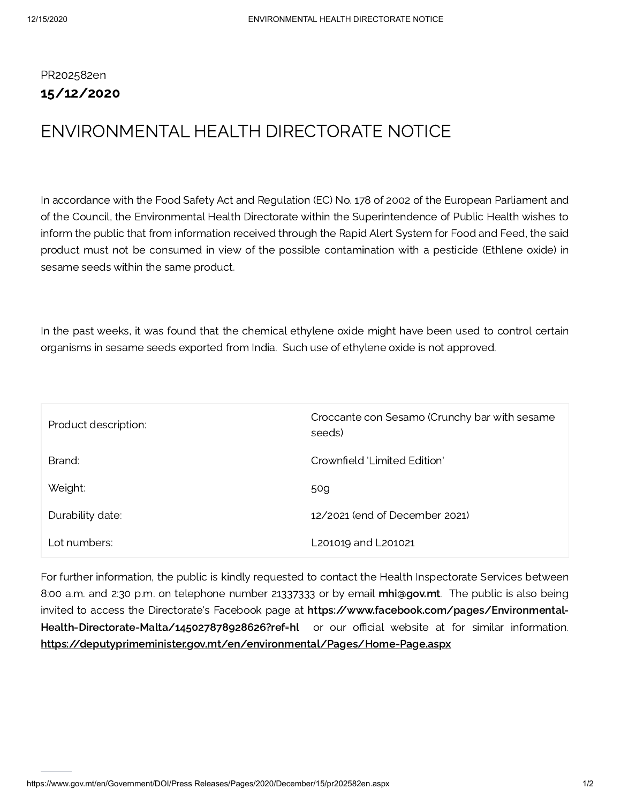PR202582en 15/12/2020

## ENVIRONMENTAL HEALTH DIRECTORATE NOTICE

In accordance with the Food Safety Act and Regulation (EC) No. 178 of 2002 of the European Parliament and of the Council, the Environmental Health Directorate within the Superintendence of Public Health wishes to inform the public that from information received through the Rapid Alert System for Food and Feed, the said product must not be consumed in view of the possible contamination with a pesticide (Ethlene oxide) in sesame seeds within the same product.

In the past weeks, it was found that the chemical ethylene oxide might have been used to control certain organisms in sesame seeds exported from India. Such use of ethylene oxide is not approved.

| Product description: | Croccante con Sesamo (Crunchy bar with sesame<br>seeds) |
|----------------------|---------------------------------------------------------|
| Brand:               | Crownfield 'Limited Edition'                            |
| Weight:              | 50g                                                     |
| Durability date:     | 12/2021 (end of December 2021)                          |
| Lot numbers:         | L201019 and L201021                                     |

For further information, the public is kindly requested to contact the Health Inspectorate Services between 8:00 a.m. and 2:30 p.m. on telephone number 21337333 or by email [mhi@gov.mt.](mailto:mhi@gov.mt) The public is also being invited to access the Directorate's Facebook page at https://www.facebook.com/pages/Environmental-[Health-Directorate-Malta/145027878928626?ref=hl](https://www.facebook.com/pages/Environmental-Health-Directorate-Malta/145027878928626?ref=hl) or our official website at for similar information. <https://deputyprimeminister.gov.mt/en/environmental/Pages/Home-Page.aspx>